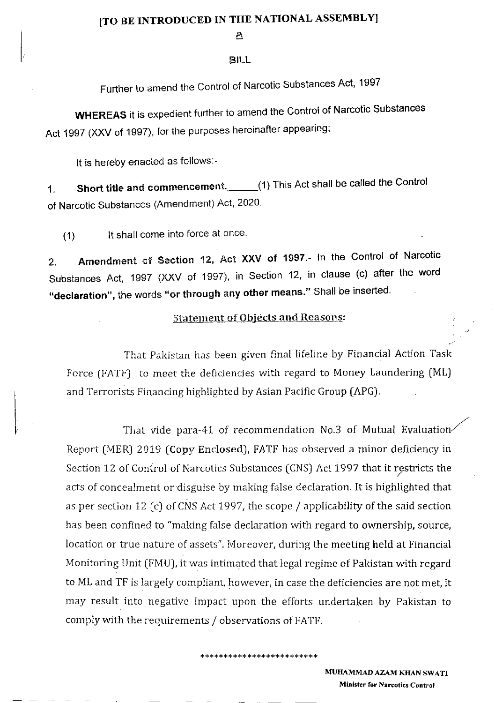### [TO BE INTRODUCED IN THE NATIONAL ASSEMBLY]

 $\mathbf{r}$ 

#### EILL

Further to amend the Control of Narcotic Substances Act, 1997

WHEREAS it is expedient further to amend the Control of Narcotic Substances Act 1997 (XXV of 1997), for the purposes hereinafter appearing:

It is hereby enacted as follows:-

1. Short title and commencement. (1) This Act shall be called the Control of Narcotic Substances (Amendment) Act, 2020.

(1) lt shall come into force at once

2. Amendment of Section 12, Act XXV of 1997.- In the Control of Narcotic Substances Act, 1997 (XXV of 1997), in Section 12, in clause (c) after the word "declaration", the words "or through any other means." Shall be inserted.

## Statement of Objects and Reasons:

That Pakistan has been given final lifeline by Financial Action Task Force (FATF) to meet the deficiencies with regard to Money Laundering (ML) and Terrorists Financing highlighted by Asian Pacific Group (APG).

That vide para-41 of recommendation No.3 of Mutual Evaluation Report (MER) 2019 [Copy Enclosed), FATF has observed a minor deficiency in Section 12 of Control of Narcotics Substances (CNS) Act 1997 that it restricts the acts of concealment or disguise by making false declaration. It is highlighted that as per section 12 (c) of CNS Act 1997, the scope  $/$  applicability of the said section has been confined to "making false declaration with regard to ownership, source, location or true nature of assets". Moreover, during the meeting held at Financial Monitoring Unit (FMU), it was intimated that legal regime of Pakistan with regard to ML and TF is largely compliant, however, in case the deficiencies are not met, it may result into negative impact upon the efforts undertaken by Pakistan to compiy with the requirements / observations of FATF.

\*\*\*\*\*\*\*\*\*\*\*\*\*\*\*\*\*\*\*\*\*\*\*

#### MUHAMMAD AZAM KHAN SWATI Minister for Narcotics Control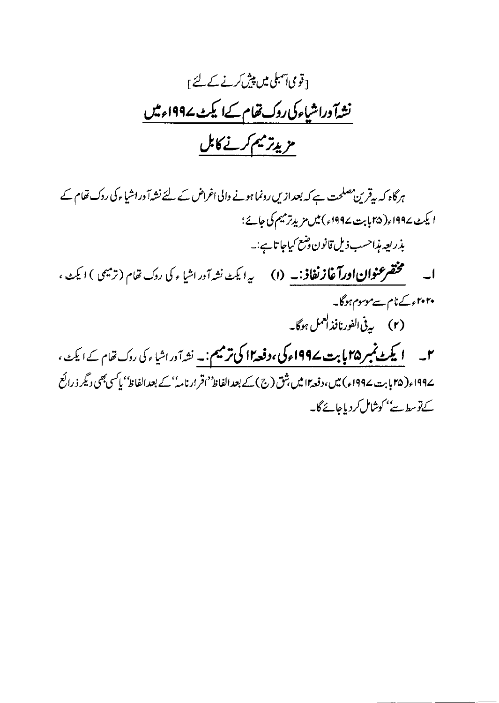۔ قومی آمبلی میں پیش کرنے کے لئے <sub>آ</sub> نشدآ وراشیاءکی روک تفام کےا یکٹ ے1994ء میں مزيدتر ميم كرنے كابل

ہرگاہ کہ بہقرین مصلحت ہے کہ بعدازیں رونما ہونے والی اغراض کے لئے نشہ آ وراشیاء کی روک تھام کے ا یکٹ ۱۹۹۷ء( ۲۵ پابت ۱۹۹۷ء) میں مزیدِ ترمیم کی جائے؛ بذريعه مذاحسب ذيل قانون وضع كياجا تاہے:۔ **ا۔ مختم عنوان اورآغاز نفاذ:۔ (۱)** یہ ایک نشہ آور اشاء کی روک تفام (ترمیمی ) ایک ، ۲۰۲۰ء کےنام سے موسوم ہوگا۔ (۲) پرنې الفورنافذ لعمل ہوگا۔ ۲۔ **ایکٹ نمبر ۲۵ بابت ۱۹۹۷ء کی ،دفعہ ۱۲ کی ترمیم :۔** نشہ آور اشا <sub>عم</sub>کی روک تفام کے ایکٹ ، ۔۱۹۹۷ء( ۲۵ بابت ۱۹۹۷ء) میں، دفعہ ۱۲ میں شق (ج) کے بعد الفاظ' اقرار نامہٗ' کے بعد الفاظ' پاکسی بھی دیگر ذ رائع کےتوسط ہے'' کوشامل کردیاجائے گا۔